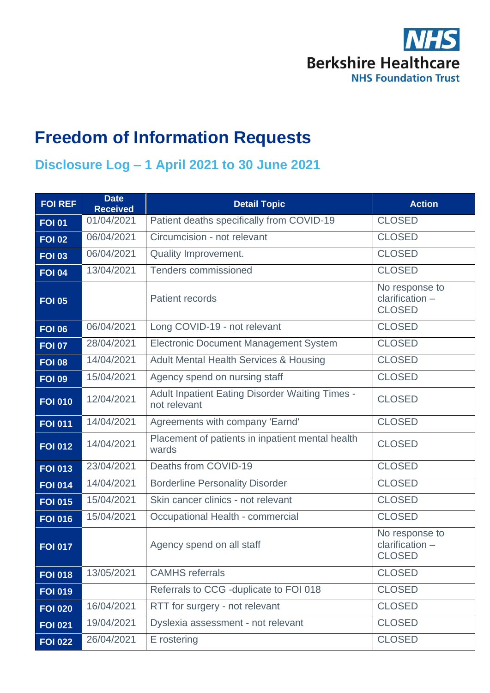

# **Freedom of Information Requests**

#### **Disclosure Log – 1 April 2021 to 30 June 2021**

| <b>FOI REF</b> | <b>Date</b><br><b>Received</b> | <b>Detail Topic</b>                                                    | <b>Action</b>                                        |
|----------------|--------------------------------|------------------------------------------------------------------------|------------------------------------------------------|
| <b>FOI 01</b>  | 01/04/2021                     | Patient deaths specifically from COVID-19                              | <b>CLOSED</b>                                        |
| <b>FOI 02</b>  | 06/04/2021                     | Circumcision - not relevant                                            | <b>CLOSED</b>                                        |
| <b>FOI 03</b>  | 06/04/2021                     | Quality Improvement.                                                   | <b>CLOSED</b>                                        |
| <b>FOI 04</b>  | 13/04/2021                     | <b>Tenders commissioned</b>                                            | <b>CLOSED</b>                                        |
| <b>FOI 05</b>  |                                | <b>Patient records</b>                                                 | No response to<br>$clarification -$<br><b>CLOSED</b> |
| <b>FOI 06</b>  | 06/04/2021                     | Long COVID-19 - not relevant                                           | <b>CLOSED</b>                                        |
| <b>FOI 07</b>  | 28/04/2021                     | <b>Electronic Document Management System</b>                           | <b>CLOSED</b>                                        |
| <b>FOI 08</b>  | 14/04/2021                     | <b>Adult Mental Health Services &amp; Housing</b>                      | <b>CLOSED</b>                                        |
| <b>FOI 09</b>  | 15/04/2021                     | Agency spend on nursing staff                                          | <b>CLOSED</b>                                        |
| <b>FOI 010</b> | 12/04/2021                     | <b>Adult Inpatient Eating Disorder Waiting Times -</b><br>not relevant | <b>CLOSED</b>                                        |
| <b>FOI 011</b> | 14/04/2021                     | Agreements with company 'Earnd'                                        | <b>CLOSED</b>                                        |
| <b>FOI 012</b> | 14/04/2021                     | Placement of patients in inpatient mental health<br>wards              | <b>CLOSED</b>                                        |
| <b>FOI 013</b> | 23/04/2021                     | Deaths from COVID-19                                                   | <b>CLOSED</b>                                        |
| <b>FOI 014</b> | 14/04/2021                     | <b>Borderline Personality Disorder</b>                                 | <b>CLOSED</b>                                        |
| <b>FOI 015</b> | 15/04/2021                     | Skin cancer clinics - not relevant                                     | <b>CLOSED</b>                                        |
| <b>FOI 016</b> | 15/04/2021                     | Occupational Health - commercial                                       | <b>CLOSED</b>                                        |
| <b>FOI 017</b> |                                | Agency spend on all staff                                              | No response to<br>clarification -<br><b>CLOSED</b>   |
| <b>FOI 018</b> | 13/05/2021                     | <b>CAMHS</b> referrals                                                 | <b>CLOSED</b>                                        |
| <b>FOI 019</b> |                                | Referrals to CCG -duplicate to FOI 018                                 | <b>CLOSED</b>                                        |
| <b>FOI 020</b> | 16/04/2021                     | RTT for surgery - not relevant                                         | <b>CLOSED</b>                                        |
| <b>FOI 021</b> | 19/04/2021                     | Dyslexia assessment - not relevant                                     | <b>CLOSED</b>                                        |
| <b>FOI 022</b> | 26/04/2021                     | E rostering                                                            | <b>CLOSED</b>                                        |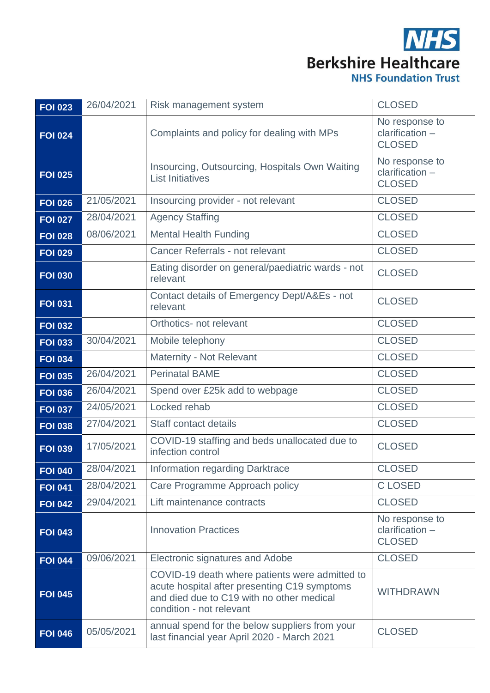| <b>FOI 023</b> | 26/04/2021 | Risk management system                                                                                                                                                  | <b>CLOSED</b>                                      |
|----------------|------------|-------------------------------------------------------------------------------------------------------------------------------------------------------------------------|----------------------------------------------------|
| <b>FOI 024</b> |            | Complaints and policy for dealing with MPs                                                                                                                              | No response to<br>clarification -<br><b>CLOSED</b> |
| <b>FOI 025</b> |            | Insourcing, Outsourcing, Hospitals Own Waiting<br><b>List Initiatives</b>                                                                                               | No response to<br>clarification -<br><b>CLOSED</b> |
| <b>FOI 026</b> | 21/05/2021 | Insourcing provider - not relevant                                                                                                                                      | <b>CLOSED</b>                                      |
| <b>FOI 027</b> | 28/04/2021 | <b>Agency Staffing</b>                                                                                                                                                  | <b>CLOSED</b>                                      |
| <b>FOI 028</b> | 08/06/2021 | <b>Mental Health Funding</b>                                                                                                                                            | <b>CLOSED</b>                                      |
| <b>FOI 029</b> |            | Cancer Referrals - not relevant                                                                                                                                         | <b>CLOSED</b>                                      |
| <b>FOI 030</b> |            | Eating disorder on general/paediatric wards - not<br>relevant                                                                                                           | <b>CLOSED</b>                                      |
| <b>FOI 031</b> |            | Contact details of Emergency Dept/A&Es - not<br>relevant                                                                                                                | <b>CLOSED</b>                                      |
| <b>FOI 032</b> |            | Orthotics- not relevant                                                                                                                                                 | <b>CLOSED</b>                                      |
| <b>FOI 033</b> | 30/04/2021 | Mobile telephony                                                                                                                                                        | <b>CLOSED</b>                                      |
| <b>FOI 034</b> |            | Maternity - Not Relevant                                                                                                                                                | <b>CLOSED</b>                                      |
| <b>FOI 035</b> | 26/04/2021 | <b>Perinatal BAME</b>                                                                                                                                                   | <b>CLOSED</b>                                      |
| <b>FOI 036</b> | 26/04/2021 | Spend over £25k add to webpage                                                                                                                                          | <b>CLOSED</b>                                      |
| <b>FOI 037</b> | 24/05/2021 | Locked rehab                                                                                                                                                            | <b>CLOSED</b>                                      |
| <b>FOI 038</b> | 27/04/2021 | Staff contact details                                                                                                                                                   | <b>CLOSED</b>                                      |
| <b>FOI 039</b> | 17/05/2021 | COVID-19 staffing and beds unallocated due to<br>infection control                                                                                                      | <b>CLOSED</b>                                      |
| <b>FOI 040</b> | 28/04/2021 | Information regarding Darktrace                                                                                                                                         | <b>CLOSED</b>                                      |
| <b>FOI 041</b> | 28/04/2021 | Care Programme Approach policy                                                                                                                                          | <b>CLOSED</b>                                      |
| <b>FOI 042</b> | 29/04/2021 | Lift maintenance contracts                                                                                                                                              | <b>CLOSED</b>                                      |
| <b>FOI 043</b> |            | <b>Innovation Practices</b>                                                                                                                                             | No response to<br>clarification -<br><b>CLOSED</b> |
| <b>FOI 044</b> | 09/06/2021 | Electronic signatures and Adobe                                                                                                                                         | <b>CLOSED</b>                                      |
| <b>FOI 045</b> |            | COVID-19 death where patients were admitted to<br>acute hospital after presenting C19 symptoms<br>and died due to C19 with no other medical<br>condition - not relevant | <b>WITHDRAWN</b>                                   |
| <b>FOI 046</b> | 05/05/2021 | annual spend for the below suppliers from your<br>last financial year April 2020 - March 2021                                                                           | <b>CLOSED</b>                                      |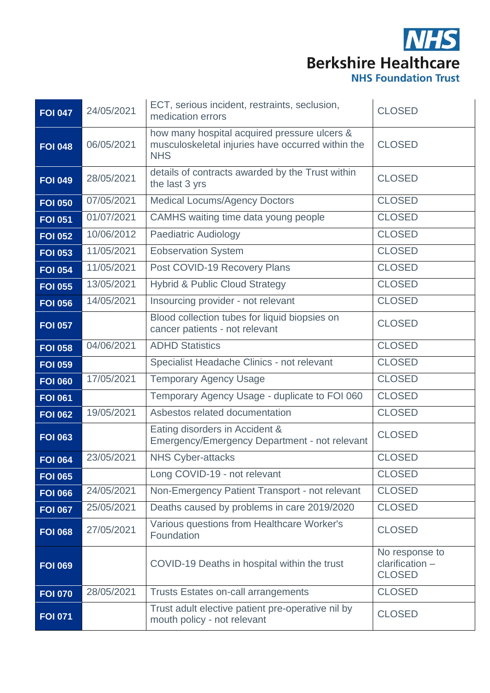| <b>FOI 047</b> | 24/05/2021 | ECT, serious incident, restraints, seclusion,<br>medication errors                                              | <b>CLOSED</b>                                      |
|----------------|------------|-----------------------------------------------------------------------------------------------------------------|----------------------------------------------------|
| <b>FOI 048</b> | 06/05/2021 | how many hospital acquired pressure ulcers &<br>musculoskeletal injuries have occurred within the<br><b>NHS</b> | <b>CLOSED</b>                                      |
| <b>FOI 049</b> | 28/05/2021 | details of contracts awarded by the Trust within<br>the last 3 yrs                                              | <b>CLOSED</b>                                      |
| <b>FOI 050</b> | 07/05/2021 | <b>Medical Locums/Agency Doctors</b>                                                                            | <b>CLOSED</b>                                      |
| <b>FOI 051</b> | 01/07/2021 | CAMHS waiting time data young people                                                                            | <b>CLOSED</b>                                      |
| <b>FOI 052</b> | 10/06/2012 | <b>Paediatric Audiology</b>                                                                                     | <b>CLOSED</b>                                      |
| <b>FOI 053</b> | 11/05/2021 | <b>Eobservation System</b>                                                                                      | <b>CLOSED</b>                                      |
| <b>FOI 054</b> | 11/05/2021 | Post COVID-19 Recovery Plans                                                                                    | <b>CLOSED</b>                                      |
| <b>FOI 055</b> | 13/05/2021 | <b>Hybrid &amp; Public Cloud Strategy</b>                                                                       | <b>CLOSED</b>                                      |
| <b>FOI 056</b> | 14/05/2021 | Insourcing provider - not relevant                                                                              | <b>CLOSED</b>                                      |
| <b>FOI 057</b> |            | Blood collection tubes for liquid biopsies on<br>cancer patients - not relevant                                 | <b>CLOSED</b>                                      |
| <b>FOI 058</b> | 04/06/2021 | <b>ADHD Statistics</b>                                                                                          | <b>CLOSED</b>                                      |
| <b>FOI 059</b> |            | Specialist Headache Clinics - not relevant                                                                      | <b>CLOSED</b>                                      |
| <b>FOI 060</b> | 17/05/2021 | <b>Temporary Agency Usage</b>                                                                                   | <b>CLOSED</b>                                      |
| <b>FOI 061</b> |            | Temporary Agency Usage - duplicate to FOI 060                                                                   | <b>CLOSED</b>                                      |
| <b>FOI 062</b> | 19/05/2021 | Asbestos related documentation                                                                                  | <b>CLOSED</b>                                      |
| <b>FOI 063</b> |            | Eating disorders in Accident &<br>Emergency/Emergency Department - not relevant                                 | <b>CLOSED</b>                                      |
| <b>FOI 064</b> | 23/05/2021 | <b>NHS Cyber-attacks</b>                                                                                        | <b>CLOSED</b>                                      |
| <b>FOI 065</b> |            | Long COVID-19 - not relevant                                                                                    | <b>CLOSED</b>                                      |
| <b>FOI 066</b> | 24/05/2021 | Non-Emergency Patient Transport - not relevant                                                                  | <b>CLOSED</b>                                      |
| <b>FOI 067</b> | 25/05/2021 | Deaths caused by problems in care 2019/2020                                                                     | <b>CLOSED</b>                                      |
| <b>FOI 068</b> | 27/05/2021 | Various questions from Healthcare Worker's<br>Foundation                                                        | <b>CLOSED</b>                                      |
| <b>FOI 069</b> |            | COVID-19 Deaths in hospital within the trust                                                                    | No response to<br>clarification -<br><b>CLOSED</b> |
| <b>FOI 070</b> | 28/05/2021 | <b>Trusts Estates on-call arrangements</b>                                                                      | <b>CLOSED</b>                                      |
| <b>FOI 071</b> |            | Trust adult elective patient pre-operative nil by<br>mouth policy - not relevant                                | <b>CLOSED</b>                                      |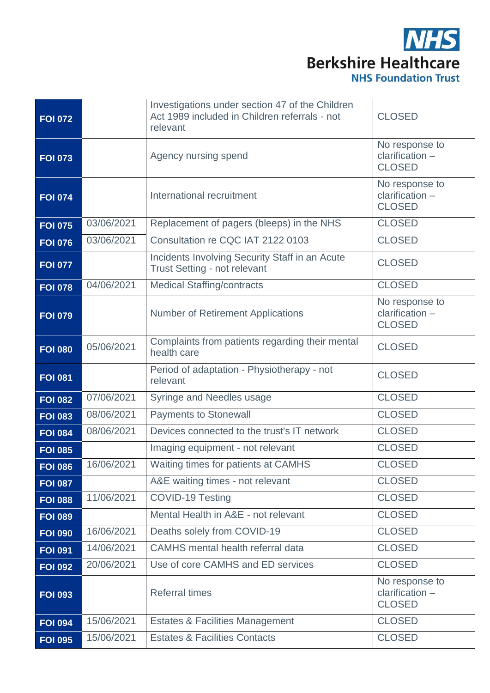| <b>FOI 072</b> |            | Investigations under section 47 of the Children<br>Act 1989 included in Children referrals - not<br>relevant | <b>CLOSED</b>                                      |
|----------------|------------|--------------------------------------------------------------------------------------------------------------|----------------------------------------------------|
| <b>FOI 073</b> |            | Agency nursing spend                                                                                         | No response to<br>clarification -<br><b>CLOSED</b> |
| <b>FOI 074</b> |            | International recruitment                                                                                    | No response to<br>clarification -<br><b>CLOSED</b> |
| <b>FOI 075</b> | 03/06/2021 | Replacement of pagers (bleeps) in the NHS                                                                    | <b>CLOSED</b>                                      |
| <b>FOI 076</b> | 03/06/2021 | Consultation re CQC IAT 2122 0103                                                                            | <b>CLOSED</b>                                      |
| <b>FOI 077</b> |            | Incidents Involving Security Staff in an Acute<br>Trust Setting - not relevant                               | <b>CLOSED</b>                                      |
| <b>FOI 078</b> | 04/06/2021 | <b>Medical Staffing/contracts</b>                                                                            | <b>CLOSED</b>                                      |
| <b>FOI 079</b> |            | <b>Number of Retirement Applications</b>                                                                     | No response to<br>clarification -<br><b>CLOSED</b> |
| <b>FOI 080</b> | 05/06/2021 | Complaints from patients regarding their mental<br>health care                                               | <b>CLOSED</b>                                      |
| <b>FOI 081</b> |            | Period of adaptation - Physiotherapy - not<br>relevant                                                       | <b>CLOSED</b>                                      |
| <b>FOI 082</b> | 07/06/2021 | Syringe and Needles usage                                                                                    | <b>CLOSED</b>                                      |
| <b>FOI 083</b> | 08/06/2021 | <b>Payments to Stonewall</b>                                                                                 | <b>CLOSED</b>                                      |
| <b>FOI 084</b> | 08/06/2021 | Devices connected to the trust's IT network                                                                  | <b>CLOSED</b>                                      |
| <b>FOI 085</b> |            | Imaging equipment - not relevant                                                                             | <b>CLOSED</b>                                      |
| <b>FOI 086</b> | 16/06/2021 | Waiting times for patients at CAMHS                                                                          | <b>CLOSED</b>                                      |
| <b>FOI 087</b> |            | A&E waiting times - not relevant                                                                             | <b>CLOSED</b>                                      |
| <b>FOI 088</b> | 11/06/2021 | <b>COVID-19 Testing</b>                                                                                      | <b>CLOSED</b>                                      |
| <b>FOI 089</b> |            | Mental Health in A&E - not relevant                                                                          | <b>CLOSED</b>                                      |
| <b>FOI 090</b> | 16/06/2021 | Deaths solely from COVID-19                                                                                  | <b>CLOSED</b>                                      |
| <b>FOI 091</b> | 14/06/2021 | CAMHS mental health referral data                                                                            | <b>CLOSED</b>                                      |
| <b>FOI 092</b> | 20/06/2021 | Use of core CAMHS and ED services                                                                            | <b>CLOSED</b>                                      |
| <b>FOI 093</b> |            | <b>Referral times</b>                                                                                        | No response to<br>clarification -<br><b>CLOSED</b> |
| <b>FOI 094</b> | 15/06/2021 | <b>Estates &amp; Facilities Management</b>                                                                   | <b>CLOSED</b>                                      |
| <b>FOI 095</b> | 15/06/2021 | <b>Estates &amp; Facilities Contacts</b>                                                                     | <b>CLOSED</b>                                      |